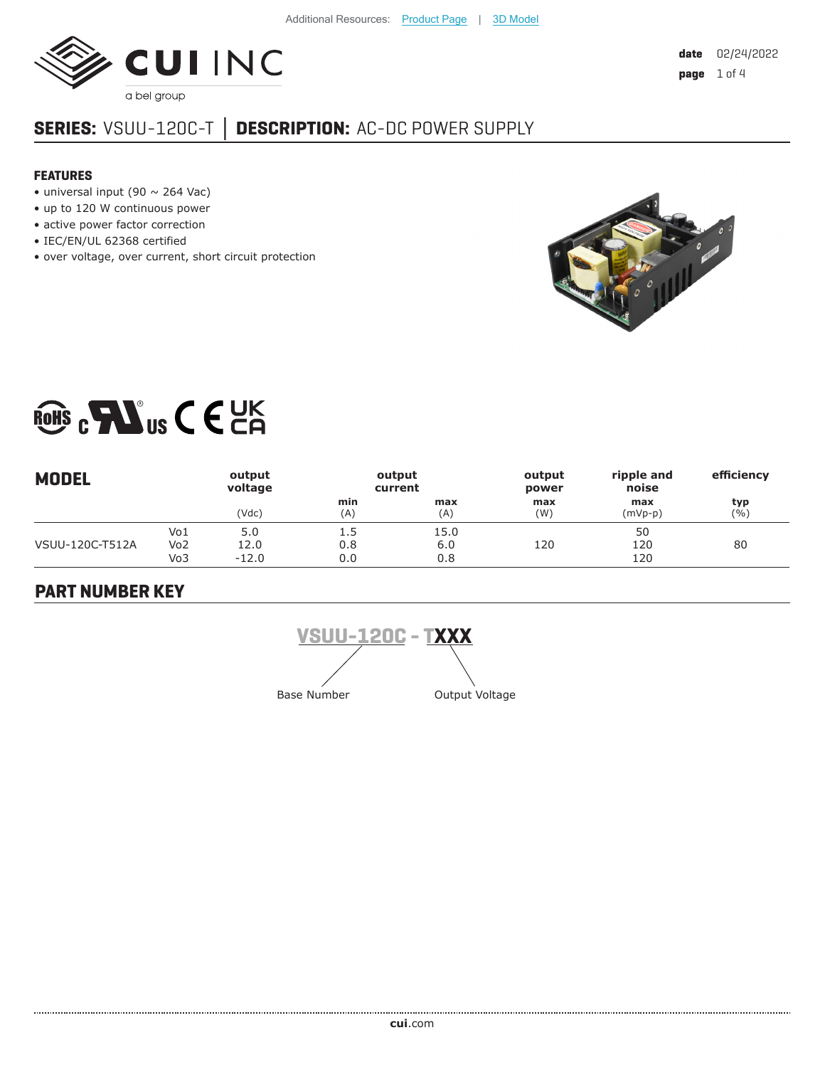

# **SERIES:** VSUU-120C-T **│ DESCRIPTION:** AC-DC POWER SUPPLY

#### **FEATURES**

- universal input (90  $\sim$  264 Vac)
- up to 120 W continuous power
- active power factor correction
- IEC/EN/UL 62368 certified
- over voltage, over current, short circuit protection



# ROHS  $c$  **FAU** us  $C \in \mathbb{C}$  E

| <b>MODEL</b>    |                               | output<br>voltage      |                   | output<br>current  | output<br>power | ripple and<br>noise | efficiency |
|-----------------|-------------------------------|------------------------|-------------------|--------------------|-----------------|---------------------|------------|
|                 |                               | (Vdc)                  | min<br>(A)        | max<br>(A)         | max<br>(W)      | max<br>(mVp-p)      | typ<br>(%) |
| VSUU-120C-T512A | Vo1<br>Vo <sub>2</sub><br>Vo3 | 5.0<br>12.0<br>$-12.0$ | 1.5<br>0.8<br>0.0 | 15.0<br>6.0<br>0.8 | 120             | 50<br>120<br>120    | 80         |

# **PART NUMBER KEY**

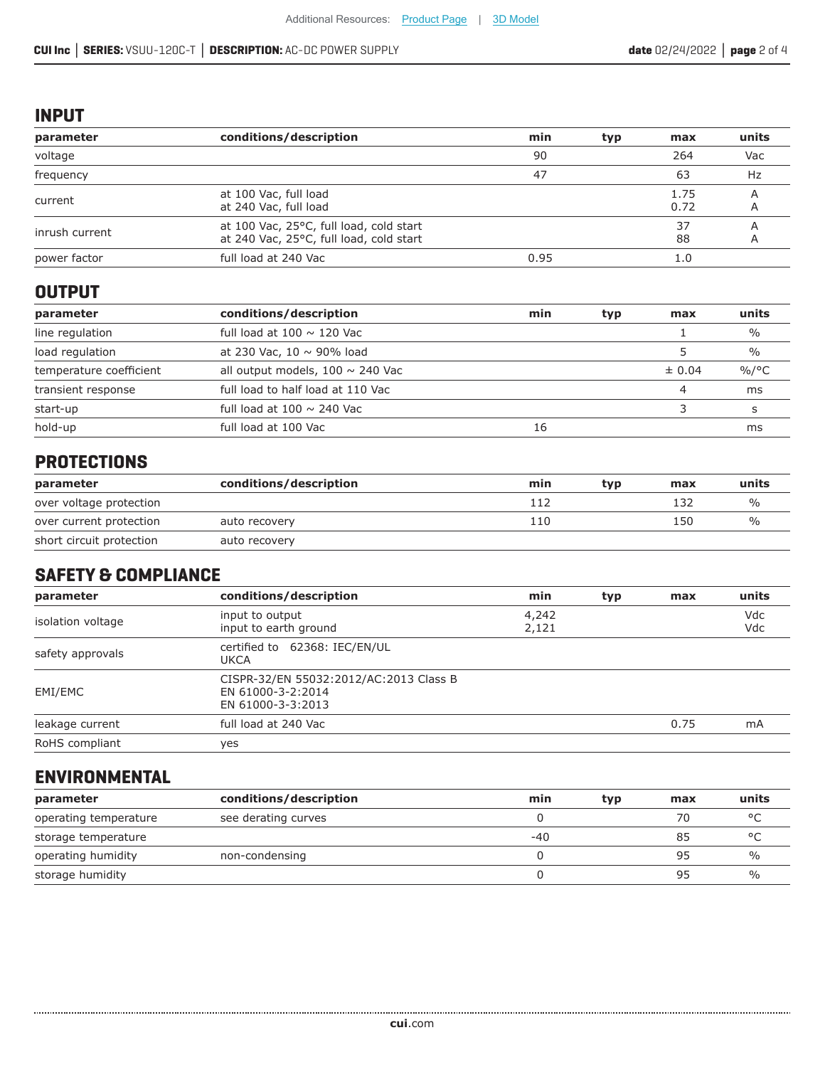#### **INPUT**

| parameter      | conditions/description                                                             | min  | typ | max          | units |
|----------------|------------------------------------------------------------------------------------|------|-----|--------------|-------|
| voltage        |                                                                                    | 90   |     | 264          | Vac   |
| frequency      |                                                                                    | 47   |     | 63           | Hz    |
| current        | at 100 Vac, full load<br>at 240 Vac, full load                                     |      |     | 1.75<br>0.72 | A     |
| inrush current | at 100 Vac, 25°C, full load, cold start<br>at 240 Vac, 25°C, full load, cold start |      |     | 37<br>88     |       |
| power factor   | full load at 240 Vac                                                               | 0.95 |     | 1.0          |       |

# **OUTPUT**

| parameter               | conditions/description                | min | typ | max        | units         |
|-------------------------|---------------------------------------|-----|-----|------------|---------------|
| line regulation         | full load at $100 \sim 120$ Vac       |     |     |            | $\frac{0}{0}$ |
| load regulation         | at 230 Vac, $10 \sim 90\%$ load       |     |     |            | $\frac{0}{0}$ |
| temperature coefficient | all output models, $100 \sim 240$ Vac |     |     | $\pm 0.04$ | $\%$ /°C      |
| transient response      | full load to half load at 110 Vac     |     |     |            | ms            |
| start-up                | full load at $100 \sim 240$ Vac       |     |     |            |               |
| hold-up                 | full load at 100 Vac                  | 16  |     |            | ms            |

# **PROTECTIONS**

| parameter                | conditions/description | min | tvp | max | units         |
|--------------------------|------------------------|-----|-----|-----|---------------|
| over voltage protection  |                        | 112 |     | L32 | $\frac{O}{O}$ |
| over current protection  | auto recovery          | 110 |     | 150 | %             |
| short circuit protection | auto recovery          |     |     |     |               |

# **SAFETY & COMPLIANCE**

| parameter         | conditions/description                                                           | min            | typ | max  | units      |
|-------------------|----------------------------------------------------------------------------------|----------------|-----|------|------------|
| isolation voltage | input to output<br>input to earth ground                                         | 4,242<br>2,121 |     |      | Vdc<br>Vdc |
| safety approvals  | certified to 62368: IEC/EN/UL<br>UKCA                                            |                |     |      |            |
| EMI/EMC           | CISPR-32/EN 55032:2012/AC:2013 Class B<br>EN 61000-3-2:2014<br>EN 61000-3-3:2013 |                |     |      |            |
| leakage current   | full load at 240 Vac                                                             |                |     | 0.75 | mA         |
| RoHS compliant    | yes                                                                              |                |     |      |            |

#### **ENVIRONMENTAL**

| parameter             | conditions/description | min   | typ | max | units         |
|-----------------------|------------------------|-------|-----|-----|---------------|
| operating temperature | see derating curves    |       |     | 70  | $\circ$       |
| storage temperature   |                        | $-40$ |     | 85  | $\circ$       |
| operating humidity    | non-condensing         |       |     | 95  | $\frac{1}{2}$ |
| storage humidity      |                        |       |     | 95  | $\frac{0}{0}$ |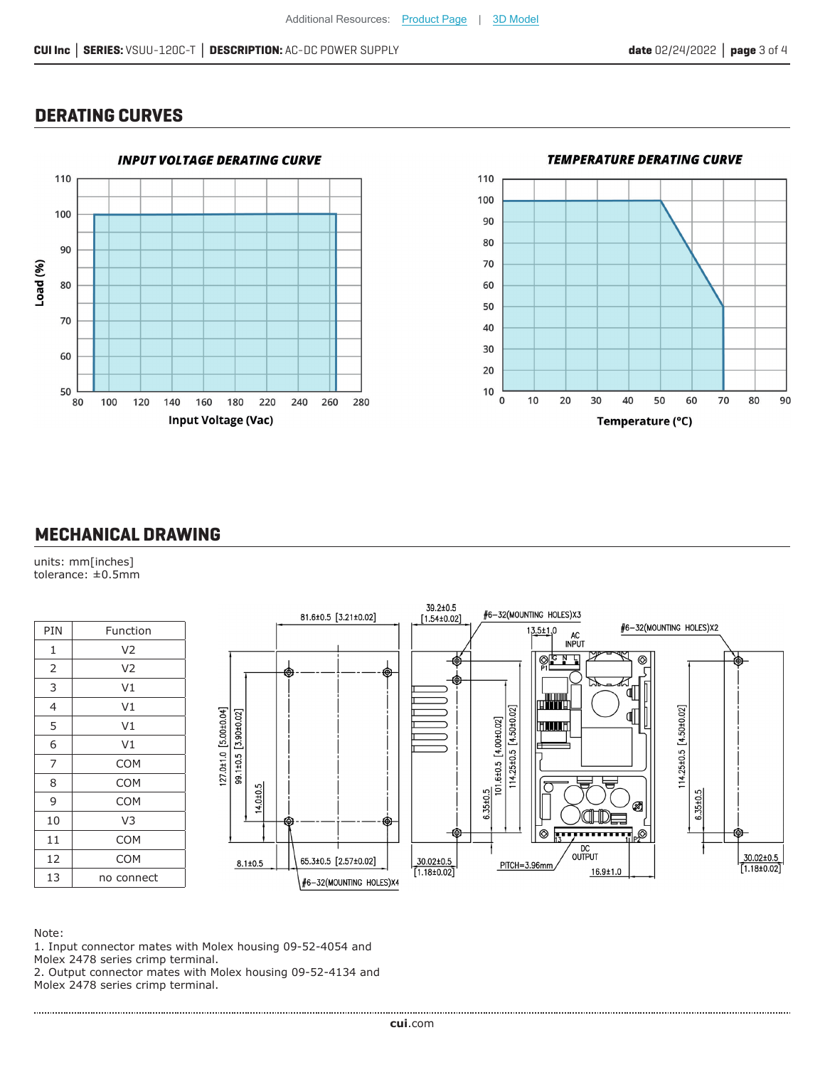#### **DERATING CURVES**





### **MECHANICAL DRAWING**

units: mm[inches] tolerance: ±0.5mm

| PIN            | Function       |
|----------------|----------------|
|                |                |
| 1              | V <sub>2</sub> |
| $\overline{2}$ | V <sub>2</sub> |
| 3              | V <sub>1</sub> |
| 4              | V <sub>1</sub> |
| 5              | V <sub>1</sub> |
| 6              | V <sub>1</sub> |
| 7              | <b>COM</b>     |
| 8              | <b>COM</b>     |
| 9              | <b>COM</b>     |
| 10             | V <sub>3</sub> |
| 11             | <b>COM</b>     |
| 12             | <b>COM</b>     |
| 13             | no connect     |



Note:

1. Input connector mates with Molex housing 09-52-4054 and Molex 2478 series crimp terminal.

2. Output connector mates with Molex housing 09-52-4134 and Molex 2478 series crimp terminal.